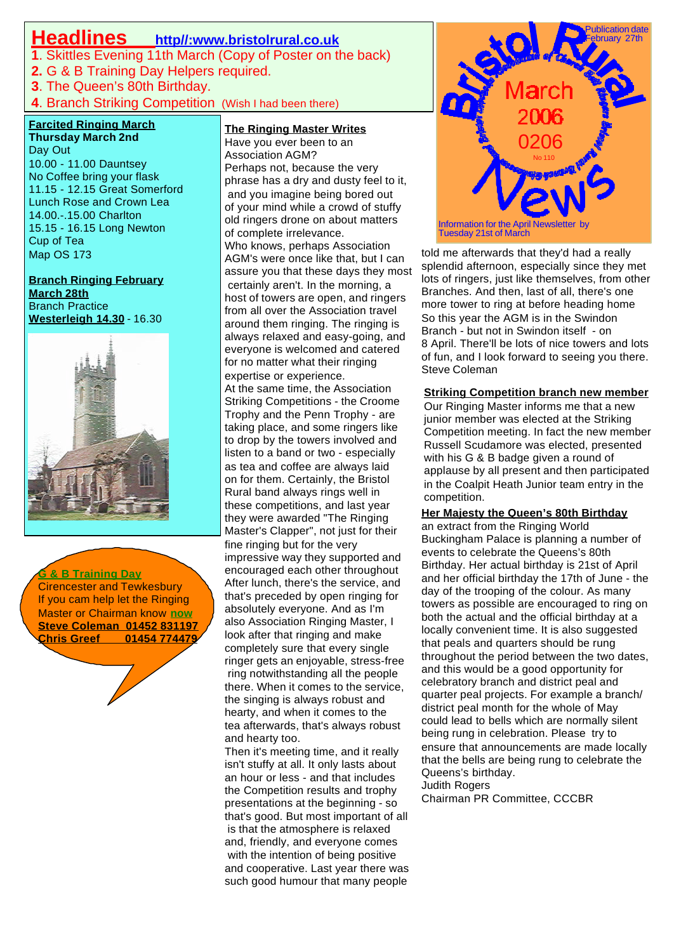## **Headlines http//:www.bristolrural.co.uk**

**1**. Skittles Evening 11th March (Copy of Poster on the back)

- **2.** G & B Training Day Helpers required.
- **3**. The Queen's 80th Birthday.

**4**. Branch Striking Competition (Wish I had been there)

### **Farcited Ringing March**

**Thursday March 2nd** Day Out 10.00 - 11.00 Dauntsey No Coffee bring your flask 11.15 - 12.15 Great Somerford Lunch Rose and Crown Lea 14.00.-.15.00 Charlton 15.15 - 16.15 Long Newton Cup of Tea Map OS 173

**Branch Ringing February March 28th** Branch Practice **Westerleigh 14.30** - 16.30



**G & B Training Day** Cirencester and Tewkesbury If you cam help let the Ringing Master or Chairman know **now Steve Coleman 01452 831197 Chris Greef 01454 774479**

**The Ringing Master Writes**

Have you ever been to an Association AGM? Perhaps not, because the very phrase has a dry and dusty feel to it, and you imagine being bored out of your mind while a crowd of stuffy old ringers drone on about matters of complete irrelevance. Who knows, perhaps Association AGM's were once like that, but I can assure you that these days they most certainly aren't. In the morning, a host of towers are open, and ringers from all over the Association travel around them ringing. The ringing is always relaxed and easy-going, and everyone is welcomed and catered for no matter what their ringing expertise or experience. At the same time, the Association Striking Competitions - the Croome Trophy and the Penn Trophy - are taking place, and some ringers like to drop by the towers involved and listen to a band or two - especially as tea and coffee are always laid on for them. Certainly, the Bristol Rural band always rings well in these competitions, and last year they were awarded "The Ringing Master's Clapper", not just for their fine ringing but for the very impressive way they supported and encouraged each other throughout After lunch, there's the service, and that's preceded by open ringing for absolutely everyone. And as I'm also Association Ringing Master, I look after that ringing and make completely sure that every single ringer gets an enjoyable, stress-free ring notwithstanding all the people there. When it comes to the service, the singing is always robust and hearty, and when it comes to the tea afterwards, that's always robust and hearty too.

isn't stuffy at all. It only lasts about Then it's meeting time, and it really an hour or less - and that includes the Competition results and trophy presentations at the beginning - so that's good. But most important of all is that the atmosphere is relaxed and, friendly, and everyone comes with the intention of being positive and cooperative. Last year there was such good humour that many people



r more tower to ring at before heading home told me afterwards that they'd had a really splendid afternoon, especially since they met lots of ringers, just like themselves, from other Branches. And then, last of all, there's one So this year the AGM is in the Swindon Branch - but not in Swindon itself - on 8 April. There'll be lots of nice towers and lots of fun, and I look forward to seeing you there. Steve Coleman

#### **Striking Competition branch new member**

Our Ringing Master informs me that a new junior member was elected at the Striking Competition meeting. In fact the new member Russell Scudamore was elected, presented with his G & B badge given a round of applause by all present and then participated in the Coalpit Heath Junior team entry in the competition.

#### **Her Majesty the Queen's 80th Birthday**

quarter peal projects. For example a branch/ that the bells are being rung to celebrate the an extract from the Ringing World Buckingham Palace is planning a number of events to celebrate the Queens's 80th Birthday. Her actual birthday is 21st of April and her official birthday the 17th of June - the day of the trooping of the colour. As many towers as possible are encouraged to ring on both the actual and the official birthday at a locally convenient time. It is also suggested that peals and quarters should be rung throughout the period between the two dates, and this would be a good opportunity for celebratory branch and district peal and district peal month for the whole of May could lead to bells which are normally silent being rung in celebration. Please try to ensure that announcements are made locally Queens's birthday. Judith Rogers

Chairman PR Committee, CCCBR